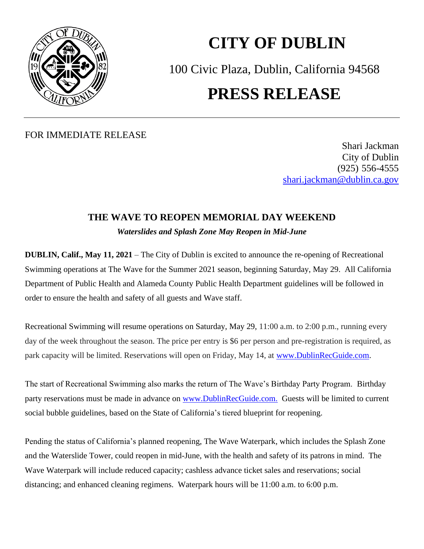

## **CITY OF DUBLIN** 100 Civic Plaza, Dublin, California 94568 **PRESS RELEASE**

## FOR IMMEDIATE RELEASE

Shari Jackman City of Dublin (925) 556-4555 [shari.jackman@dublin.ca.gov](mailto:shari.jackman@dublin.ca.gov)

## **THE WAVE TO REOPEN MEMORIAL DAY WEEKEND** *Waterslides and Splash Zone May Reopen in Mid-June*

**DUBLIN, Calif., May 11, 2021** – The City of Dublin is excited to announce the re-opening of Recreational Swimming operations at The Wave for the Summer 2021 season, beginning Saturday, May 29. All California Department of Public Health and Alameda County Public Health Department guidelines will be followed in order to ensure the health and safety of all guests and Wave staff.

Recreational Swimming will resume operations on Saturday, May 29, 11:00 a.m. to 2:00 p.m., running every day of the week throughout the season. The price per entry is \$6 per person and pre-registration is required, as park capacity will be limited. Reservations will open on Friday, May 14, at [www.DublinRecGuide.com.](http://www.dublinrecguide.com/)

The start of Recreational Swimming also marks the return of The Wave's Birthday Party Program. Birthday party reservations must be made in advance on [www.DublinRecGuide.com.](http://www.dublinrecguide.com/) Guests will be limited to current social bubble guidelines, based on the State of California's tiered blueprint for reopening.

Pending the status of California's planned reopening, The Wave Waterpark, which includes the Splash Zone and the Waterslide Tower, could reopen in mid-June, with the health and safety of its patrons in mind. The Wave Waterpark will include reduced capacity; cashless advance ticket sales and reservations; social distancing; and enhanced cleaning regimens. Waterpark hours will be 11:00 a.m. to 6:00 p.m.